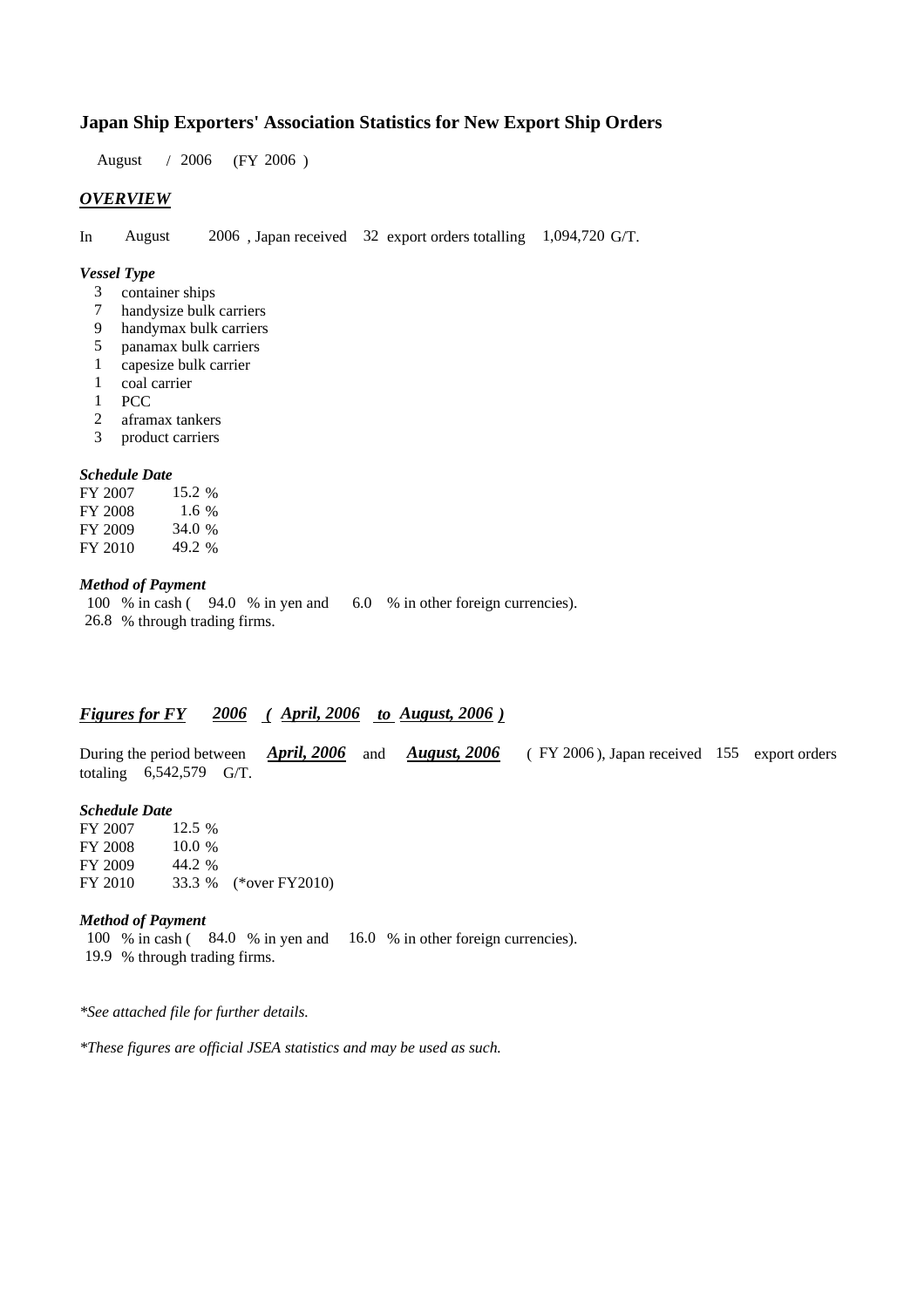# **Japan Ship Exporters' Association Statistics for New Export Ship Orders**

 $/ 2006$  (FY 2006) August / 2006

## *OVERVIEW*

In August 2006, Japan received 32 export orders totalling 1,094,720 G/T.

## *Vessel Type*

- container ships 3
- handysize bulk carriers 7
- handymax bulk carriers 9
- panamax bulk carriers 5
- capesize bulk carrier 1
- coal carrier 1
- PCC 1
- aframax tankers 2
- product carriers 3

#### *Schedule Date*

FY 2007 FY 2008 FY 2009 FY 2010 49.2 34.0 15.2 % 1.6

## *Method of Payment*

100 % in cash (94.0 % in yen and 6.0 % in other foreign currencies). % through trading firms. 26.8

## *Figures for FY* 2006 (*April, 2006 to August, 2006*)

During the period between *April, 2006* and *August, 2006* (FY 2006), Japan received 155 export orders totaling  $6,542,579$  G/T. *April, 2006 August, 2006*

## *Schedule Date*

FY 2007 FY 2008 FY 2009 FY 2010 33.3 % (\*over FY2010) 10.0 % 44.2 33.3 12.5 %

## *Method of Payment*

100 % in cash (84.0 % in yen and 16.0 % in other foreign currencies). % through trading firms. 19.9

*\*See attached file for further details.*

*\*These figures are official JSEA statistics and may be used as such.*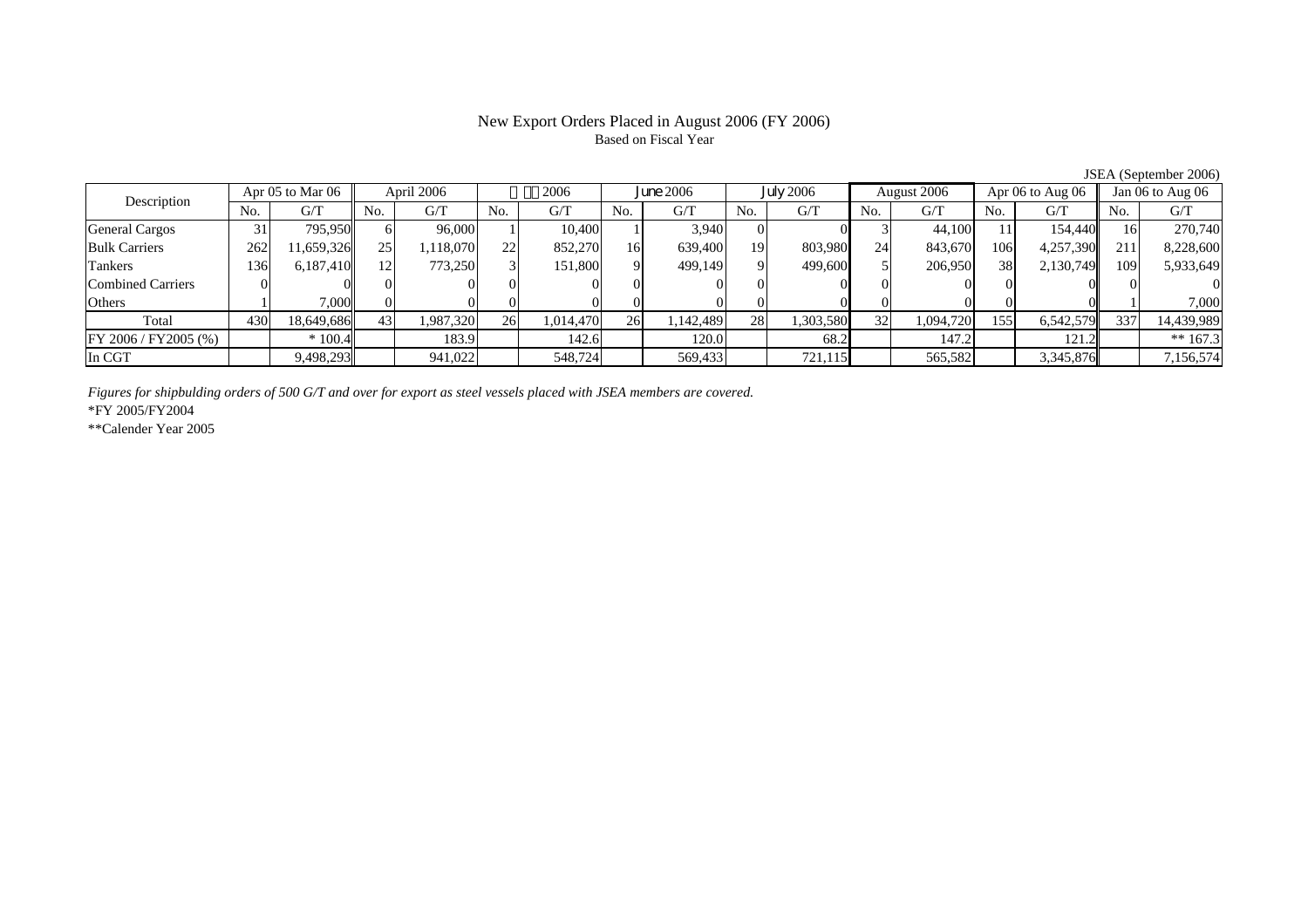# New Export Orders Placed in August 2006 (FY 2006) Based on Fiscal Year

| Description              | Apr 05 to Mar 06 |            | April 2006      |          | 2006 |           | <b>June 2006</b> |           | <b>July 2006</b> |           | August 2006 |           | Apr 06 to Aug 06 |           | Jan 06 to Aug 06 |            |
|--------------------------|------------------|------------|-----------------|----------|------|-----------|------------------|-----------|------------------|-----------|-------------|-----------|------------------|-----------|------------------|------------|
|                          | No.              | G/T        | No.             | G/T      | No.  | G/T       | No.              | G/T       | N <sub>0</sub>   | G/T       | No.         | G/T       | No.              | G/T       | No.              | G/T        |
| General Cargos           | 31               | 795.950    | <sub>0</sub>    | 96,000   |      | 10.400    |                  | 3.940     |                  |           |             | 44,100    |                  | 154,440   | 16               | 270,740    |
| <b>Bulk Carriers</b>     | 262              | 1,659,326  | 25 <sub>1</sub> | ,118,070 | 22   | 852,270   | 16               | 639,400   | 19               | 803,980   | 24          | 843,670   | 106              | 4,257,390 | 211              | 8,228,600  |
| Tankers                  | .36              | 6,187,410  | 12              | 773,250  |      | 151,800   | Q                | 499,149   | $\Omega$         | 499,600   |             | 206,950   | 38               | 2,130,749 | 109              | 5,933,649  |
| <b>Combined Carriers</b> |                  |            |                 |          |      |           |                  |           |                  |           |             |           |                  |           |                  |            |
| Others                   |                  | 7,000      |                 |          |      |           |                  |           |                  |           |             |           |                  |           |                  | 7,000      |
| Total                    | 430              | 18.649.686 | 43              | .987.320 | 26   | 1,014,470 | 26               | 1,142,489 | 28               | 1,303,580 | 32          | 1,094,720 | 1551             | 6,542,579 | 337              | 14,439,989 |
| FY 2006/FY2005 (%)       |                  | $*100.4$   |                 | 183.9    |      | 142.6     |                  | 120.0     |                  | 68.2      |             | 147.2     |                  | 121.2     |                  | ** $167.3$ |
| In CGT                   |                  | 9,498,293  |                 | 941,022  |      | 548,724   |                  | 569,433   |                  | 721,115   |             | 565,582   |                  | 3,345,876 |                  | 7,156,574  |

JSEA (September 2006)

*Figures for shipbulding orders of 500 G/T and over for export as steel vessels placed with JSEA members are covered.*

\*FY 2005/FY2004

\*\*Calender Year 2005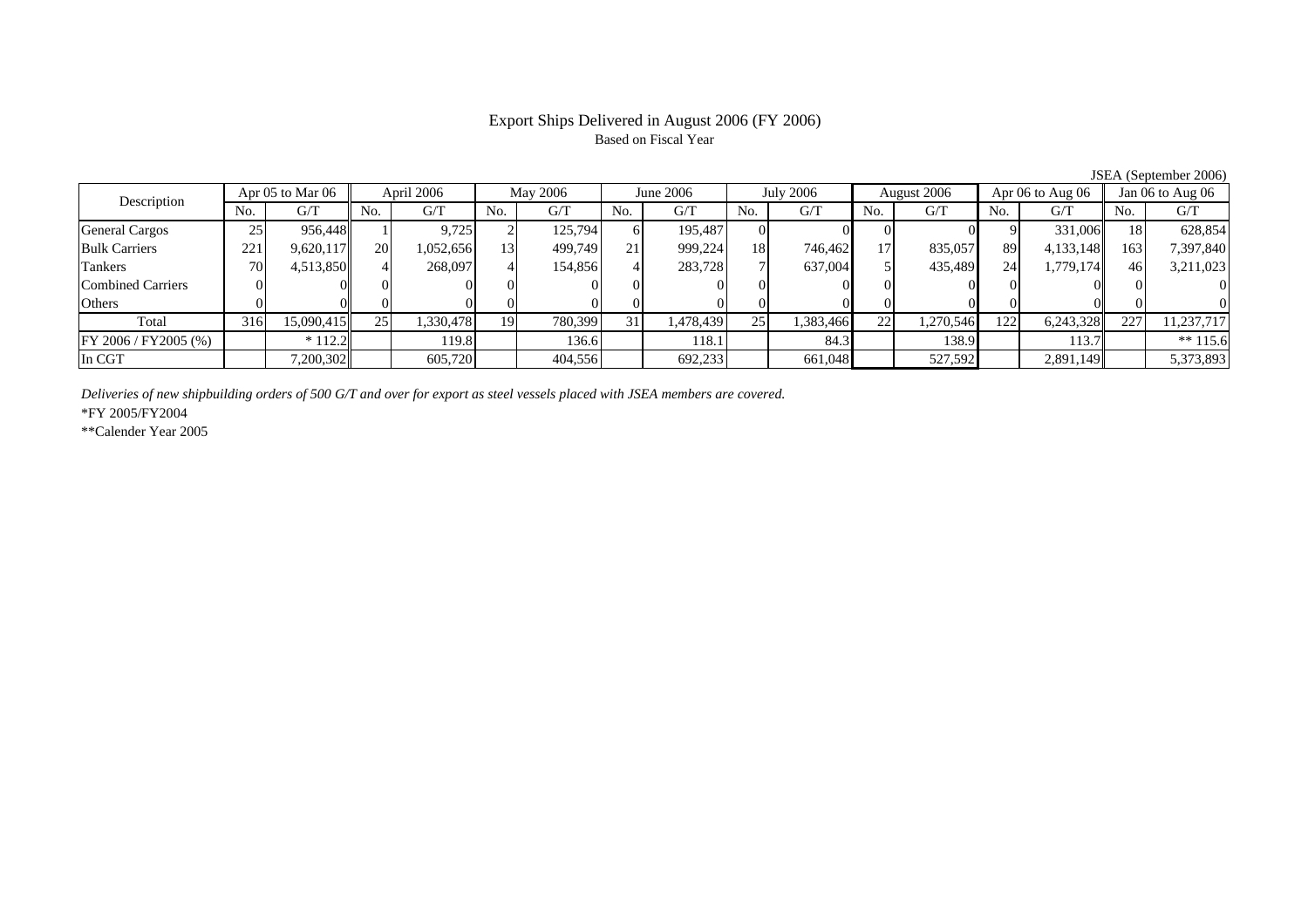# Export Ships Delivered in August 2006 (FY 2006) Based on Fiscal Year

JSEA (September 2006)

| Description              | Apr 05 to Mar 06 |            | April 2006 |           | <b>May 2006</b> |          | June 2006      |           | <b>July 2006</b> |           | August 2006 |           | Apr $06$ to Aug $06$ |           | Jan $06$ to Aug $06$ |            |
|--------------------------|------------------|------------|------------|-----------|-----------------|----------|----------------|-----------|------------------|-----------|-------------|-----------|----------------------|-----------|----------------------|------------|
|                          | No.              | G/T        | No.        | G/T       | No.             | G/T      | N <sub>0</sub> | G/T       | No.              | G/T       | No.         | G/T       | No.                  | G/T       | No.                  | G/T        |
| <b>General Cargos</b>    | 25               | 956,448    |            | 9,725     |                 | 125,794  |                | 195.487   |                  |           |             |           |                      | 331,006   | 18                   | 628,854    |
| <b>Bulk Carriers</b>     | 221              | 9,620,117  | 20         | 1,052,656 | 13              | 499,749  | 21             | 999,224   | <b>18</b>        | 746.462   | 17          | 835,057   | 89                   | 4,133,148 | 163                  | 7,397,840  |
| Tankers                  | 70               | 4,513,850  |            | 268,097   |                 | 154,856  |                | 283,728   |                  | 637,004   |             | 435,489   | 24                   | 1,779,174 | 46                   | 3,211,023  |
| <b>Combined Carriers</b> |                  |            |            |           |                 |          |                |           |                  |           |             |           |                      |           |                      |            |
| Others                   |                  |            |            |           |                 | $\Omega$ |                |           |                  |           |             |           |                      |           |                      |            |
| Total                    | 316              | 15,090,415 | 25         | 1,330,478 | 19              | 780,399  |                | 1,478,439 | 25               | 1,383,466 | 22          | 1,270,546 | 122                  | 6,243,328 | 227                  | 11,237,717 |
| FY 2006 / FY2005 (%)     |                  | $*112.2$   |            | 119.8     |                 | 136.6    |                | 118.1     |                  | 84.3      |             | 138.9     |                      | 113.7     |                      | ** $115.6$ |
| In CGT                   |                  | 7,200,302  |            | 605,720   |                 | 404,556  |                | 692,233   |                  | 661,048   |             | 527,592   |                      | 2,891,149 |                      | 5,373,893  |

*Deliveries of new shipbuilding orders of 500 G/T and over for export as steel vessels placed with JSEA members are covered.*

\*FY 2005/FY2004

\*\*Calender Year 2005